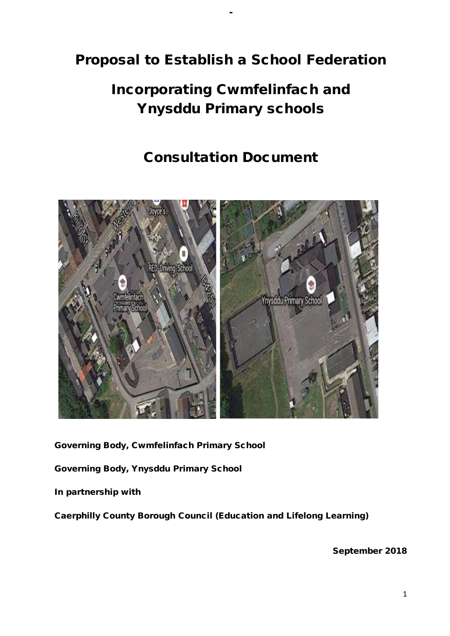# Proposal to Establish a School Federation

-

# Incorporating Cwmfelinfach and Ynysddu Primary schools

# Consultation Document



Governing Body, Cwmfelinfach Primary School

Governing Body, Ynysddu Primary School

In partnership with

Caerphilly County Borough Council (Education and Lifelong Learning)

September 2018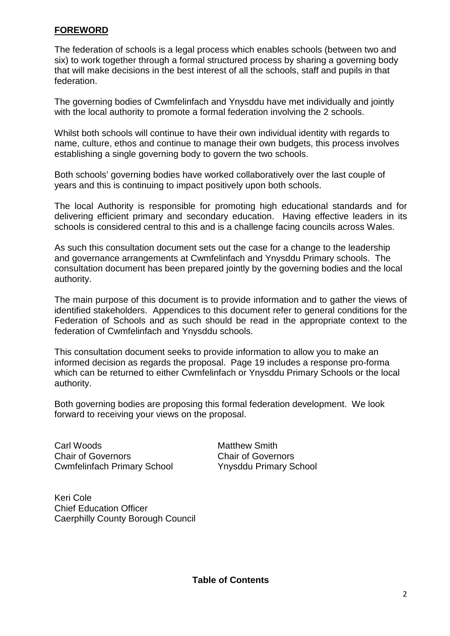# **FOREWORD**

The federation of schools is a legal process which enables schools (between two and six) to work together through a formal structured process by sharing a governing body that will make decisions in the best interest of all the schools, staff and pupils in that federation.

The governing bodies of Cwmfelinfach and Ynysddu have met individually and jointly with the local authority to promote a formal federation involving the 2 schools.

Whilst both schools will continue to have their own individual identity with regards to name, culture, ethos and continue to manage their own budgets, this process involves establishing a single governing body to govern the two schools.

Both schools' governing bodies have worked collaboratively over the last couple of years and this is continuing to impact positively upon both schools.

The local Authority is responsible for promoting high educational standards and for delivering efficient primary and secondary education. Having effective leaders in its schools is considered central to this and is a challenge facing councils across Wales.

As such this consultation document sets out the case for a change to the leadership and governance arrangements at Cwmfelinfach and Ynysddu Primary schools. The consultation document has been prepared jointly by the governing bodies and the local authority.

The main purpose of this document is to provide information and to gather the views of identified stakeholders. Appendices to this document refer to general conditions for the Federation of Schools and as such should be read in the appropriate context to the federation of Cwmfelinfach and Ynysddu schools.

This consultation document seeks to provide information to allow you to make an informed decision as regards the proposal. Page 19 includes a response pro-forma which can be returned to either Cwmfelinfach or Ynysddu Primary Schools or the local authority.

Both governing bodies are proposing this formal federation development. We look forward to receiving your views on the proposal.

Carl Woods **Matthew Smith** Chair of Governors Chair of Governors Cwmfelinfach Primary School Ynysddu Primary School

Keri Cole Chief Education Officer Caerphilly County Borough Council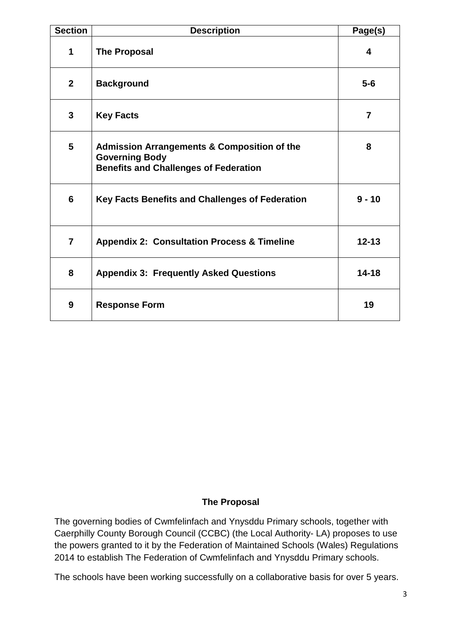| <b>Section</b> | <b>Description</b>                                                                                                              | Page(s) |  |  |  |
|----------------|---------------------------------------------------------------------------------------------------------------------------------|---------|--|--|--|
| 1              | <b>The Proposal</b>                                                                                                             | 4       |  |  |  |
| 2 <sup>1</sup> | <b>Background</b>                                                                                                               |         |  |  |  |
| $\overline{3}$ | <b>Key Facts</b>                                                                                                                |         |  |  |  |
| $5\phantom{1}$ | <b>Admission Arrangements &amp; Composition of the</b><br><b>Governing Body</b><br><b>Benefits and Challenges of Federation</b> | 8       |  |  |  |
| 6              | Key Facts Benefits and Challenges of Federation                                                                                 |         |  |  |  |
| $\overline{7}$ | <b>Appendix 2: Consultation Process &amp; Timeline</b><br>$12 - 13$                                                             |         |  |  |  |
| 8              | $14 - 18$<br><b>Appendix 3: Frequently Asked Questions</b>                                                                      |         |  |  |  |
| 9              | 19<br><b>Response Form</b>                                                                                                      |         |  |  |  |

# **The Proposal**

The governing bodies of Cwmfelinfach and Ynysddu Primary schools, together with Caerphilly County Borough Council (CCBC) (the Local Authority- LA) proposes to use the powers granted to it by the Federation of Maintained Schools (Wales) Regulations 2014 to establish The Federation of Cwmfelinfach and Ynysddu Primary schools.

The schools have been working successfully on a collaborative basis for over 5 years.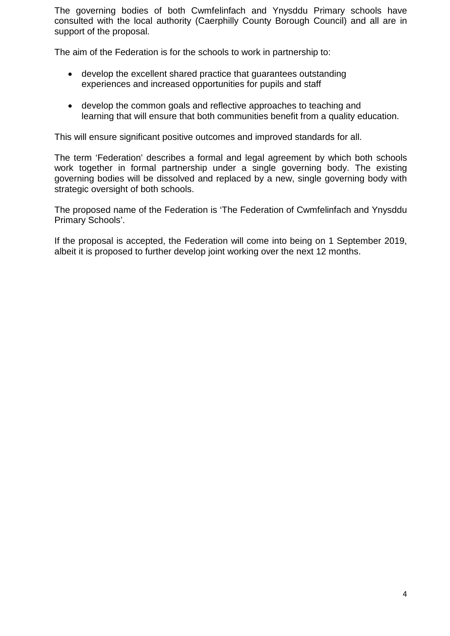The governing bodies of both Cwmfelinfach and Ynysddu Primary schools have consulted with the local authority (Caerphilly County Borough Council) and all are in support of the proposal.

The aim of the Federation is for the schools to work in partnership to:

- develop the excellent shared practice that guarantees outstanding experiences and increased opportunities for pupils and staff
- develop the common goals and reflective approaches to teaching and learning that will ensure that both communities benefit from a quality education.

This will ensure significant positive outcomes and improved standards for all.

The term 'Federation' describes a formal and legal agreement by which both schools work together in formal partnership under a single governing body. The existing governing bodies will be dissolved and replaced by a new, single governing body with strategic oversight of both schools.

The proposed name of the Federation is 'The Federation of Cwmfelinfach and Ynysddu Primary Schools'.

If the proposal is accepted, the Federation will come into being on 1 September 2019, albeit it is proposed to further develop joint working over the next 12 months.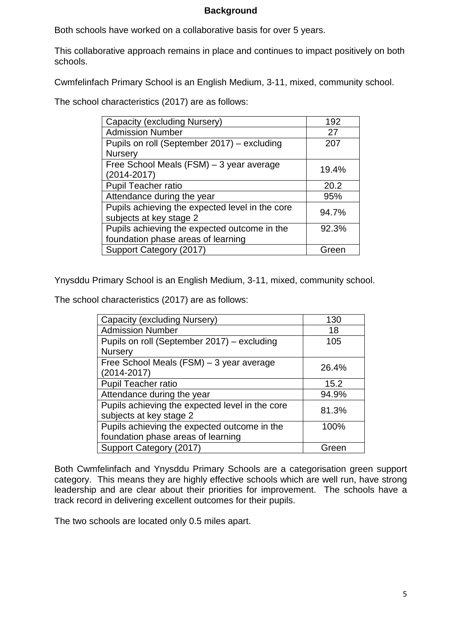# **Background**

Both schools have worked on a collaborative basis for over 5 years.

This collaborative approach remains in place and continues to impact positively on both schools.

Cwmfelinfach Primary School is an English Medium, 3-11, mixed, community school.

The school characteristics (2017) are as follows:

| Capacity (excluding Nursery)                    | 192   |
|-------------------------------------------------|-------|
| <b>Admission Number</b>                         | 27    |
| Pupils on roll (September 2017) – excluding     | 207   |
| <b>Nursery</b>                                  |       |
| Free School Meals (FSM) - 3 year average        | 19.4% |
| (2014-2017)                                     |       |
| <b>Pupil Teacher ratio</b>                      | 20.2  |
| Attendance during the year                      | 95%   |
| Pupils achieving the expected level in the core | 94.7% |
| subjects at key stage 2                         |       |
| Pupils achieving the expected outcome in the    | 92.3% |
| foundation phase areas of learning              |       |
| Support Category (2017)                         | Green |

Ynysddu Primary School is an English Medium, 3-11, mixed, community school.

The school characteristics (2017) are as follows:

| Capacity (excluding Nursery)                    | 130   |
|-------------------------------------------------|-------|
| <b>Admission Number</b>                         | 18    |
| Pupils on roll (September 2017) – excluding     | 105   |
| <b>Nursery</b>                                  |       |
| Free School Meals (FSM) - 3 year average        | 26.4% |
| (2014-2017)                                     |       |
| Pupil Teacher ratio                             | 15.2  |
| Attendance during the year                      | 94.9% |
| Pupils achieving the expected level in the core | 81.3% |
| subjects at key stage 2                         |       |
| Pupils achieving the expected outcome in the    | 100%  |
| foundation phase areas of learning              |       |
| Support Category (2017)                         | Green |

Both Cwmfelinfach and Ynysddu Primary Schools are a categorisation green support category. This means they are highly effective schools which are well run, have strong leadership and are clear about their priorities for improvement. The schools have a track record in delivering excellent outcomes for their pupils.

The two schools are located only 0.5 miles apart.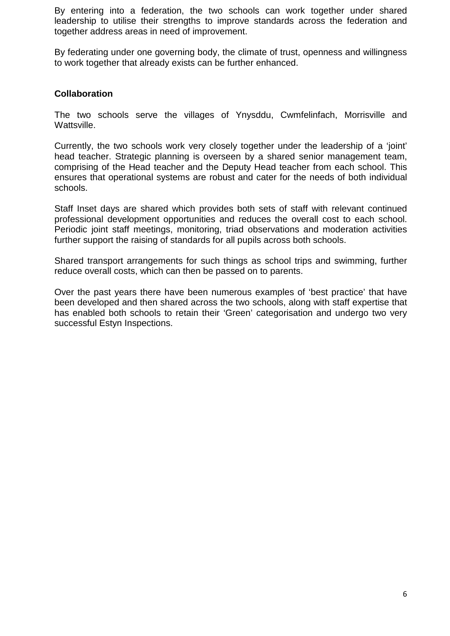By entering into a federation, the two schools can work together under shared leadership to utilise their strengths to improve standards across the federation and together address areas in need of improvement.

By federating under one governing body, the climate of trust, openness and willingness to work together that already exists can be further enhanced.

# **Collaboration**

The two schools serve the villages of Ynysddu, Cwmfelinfach, Morrisville and Wattsville.

Currently, the two schools work very closely together under the leadership of a 'joint' head teacher. Strategic planning is overseen by a shared senior management team, comprising of the Head teacher and the Deputy Head teacher from each school. This ensures that operational systems are robust and cater for the needs of both individual schools.

Staff Inset days are shared which provides both sets of staff with relevant continued professional development opportunities and reduces the overall cost to each school. Periodic joint staff meetings, monitoring, triad observations and moderation activities further support the raising of standards for all pupils across both schools.

Shared transport arrangements for such things as school trips and swimming, further reduce overall costs, which can then be passed on to parents.

Over the past years there have been numerous examples of 'best practice' that have been developed and then shared across the two schools, along with staff expertise that has enabled both schools to retain their 'Green' categorisation and undergo two very successful Estyn Inspections.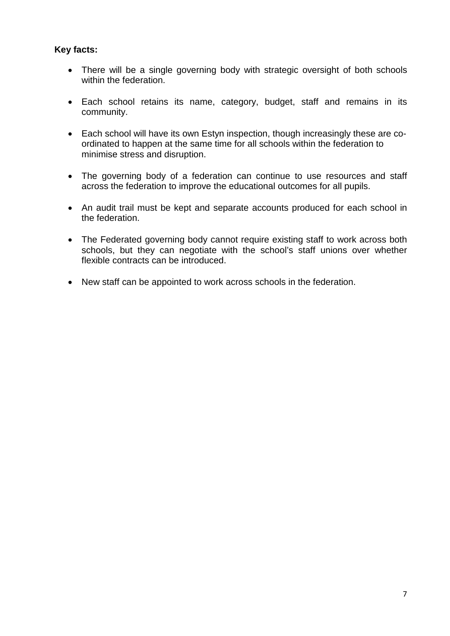# **Key facts:**

- There will be a single governing body with strategic oversight of both schools within the federation.
- Each school retains its name, category, budget, staff and remains in its community.
- Each school will have its own Estyn inspection, though increasingly these are coordinated to happen at the same time for all schools within the federation to minimise stress and disruption.
- The governing body of a federation can continue to use resources and staff across the federation to improve the educational outcomes for all pupils.
- An audit trail must be kept and separate accounts produced for each school in the federation.
- The Federated governing body cannot require existing staff to work across both schools, but they can negotiate with the school's staff unions over whether flexible contracts can be introduced.
- New staff can be appointed to work across schools in the federation.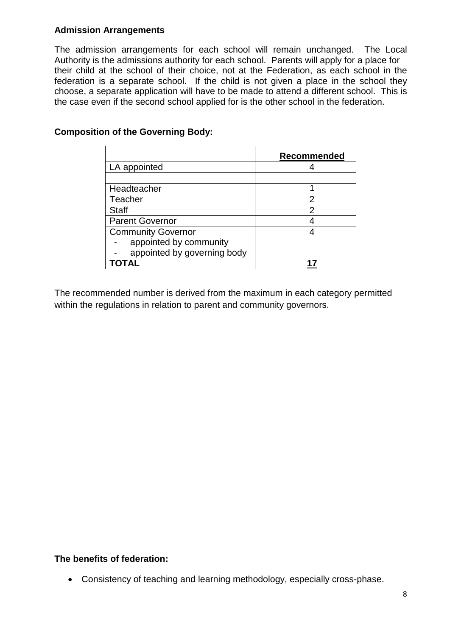# **Admission Arrangements**

The admission arrangements for each school will remain unchanged. The Local Authority is the admissions authority for each school. Parents will apply for a place for their child at the school of their choice, not at the Federation, as each school in the federation is a separate school. If the child is not given a place in the school they choose, a separate application will have to be made to attend a different school. This is the case even if the second school applied for is the other school in the federation.

|                             | Recommended |
|-----------------------------|-------------|
| LA appointed                |             |
|                             |             |
| Headteacher                 |             |
| Teacher                     | 2           |
| <b>Staff</b>                | 2           |
| <b>Parent Governor</b>      |             |
| <b>Community Governor</b>   |             |
| appointed by community      |             |
| appointed by governing body |             |
| ΤΩΤΔΙ                       |             |

# **Composition of the Governing Body:**

The recommended number is derived from the maximum in each category permitted within the regulations in relation to parent and community governors.

## **The benefits of federation:**

• Consistency of teaching and learning methodology, especially cross-phase.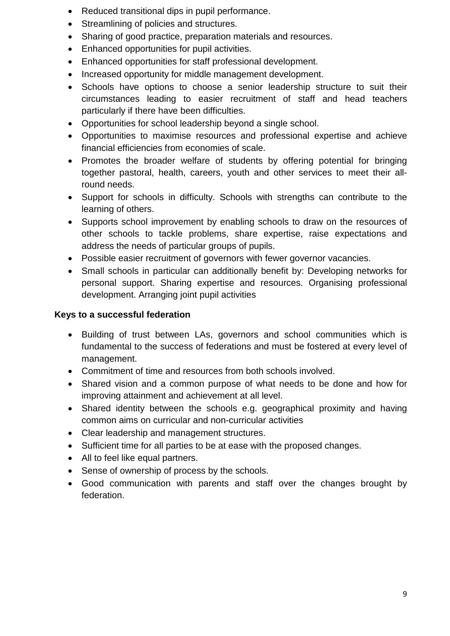- Reduced transitional dips in pupil performance.
- Streamlining of policies and structures.
- Sharing of good practice, preparation materials and resources.
- Enhanced opportunities for pupil activities.
- Enhanced opportunities for staff professional development.
- Increased opportunity for middle management development.
- Schools have options to choose a senior leadership structure to suit their circumstances leading to easier recruitment of staff and head teachers particularly if there have been difficulties.
- Opportunities for school leadership beyond a single school.
- Opportunities to maximise resources and professional expertise and achieve financial efficiencies from economies of scale.
- Promotes the broader welfare of students by offering potential for bringing together pastoral, health, careers, youth and other services to meet their allround needs.
- Support for schools in difficulty. Schools with strengths can contribute to the learning of others.
- Supports school improvement by enabling schools to draw on the resources of other schools to tackle problems, share expertise, raise expectations and address the needs of particular groups of pupils.
- Possible easier recruitment of governors with fewer governor vacancies.
- Small schools in particular can additionally benefit by: Developing networks for personal support. Sharing expertise and resources. Organising professional development. Arranging joint pupil activities

# **Keys to a successful federation**

- Building of trust between LAs, governors and school communities which is fundamental to the success of federations and must be fostered at every level of management.
- Commitment of time and resources from both schools involved.
- Shared vision and a common purpose of what needs to be done and how for improving attainment and achievement at all level.
- Shared identity between the schools e.g. geographical proximity and having common aims on curricular and non-curricular activities
- Clear leadership and management structures.
- Sufficient time for all parties to be at ease with the proposed changes.
- All to feel like equal partners.
- Sense of ownership of process by the schools.
- Good communication with parents and staff over the changes brought by federation.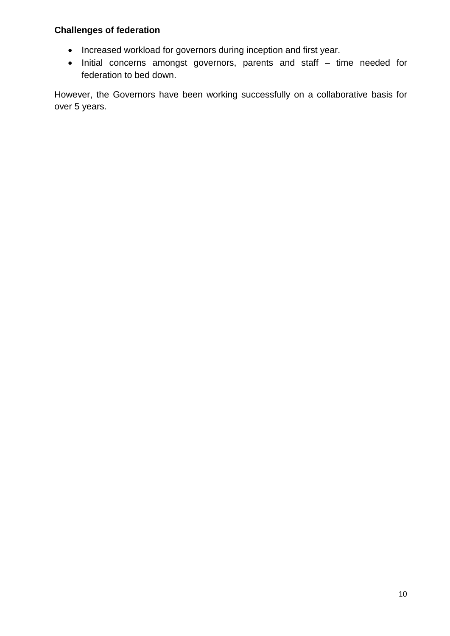# **Challenges of federation**

- Increased workload for governors during inception and first year.
- Initial concerns amongst governors, parents and staff time needed for federation to bed down.

However, the Governors have been working successfully on a collaborative basis for over 5 years.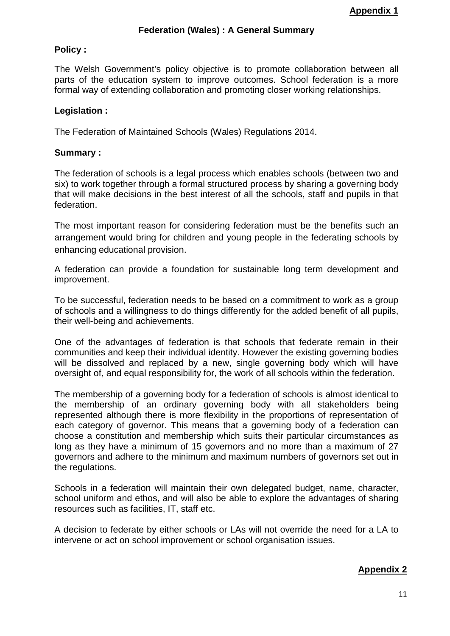#### **Federation (Wales) : A General Summary**

#### **Policy :**

The Welsh Government's policy objective is to promote collaboration between all parts of the education system to improve outcomes. School federation is a more formal way of extending collaboration and promoting closer working relationships.

#### **Legislation :**

The Federation of Maintained Schools (Wales) Regulations 2014.

#### **Summary :**

The federation of schools is a legal process which enables schools (between two and six) to work together through a formal structured process by sharing a governing body that will make decisions in the best interest of all the schools, staff and pupils in that federation.

The most important reason for considering federation must be the benefits such an arrangement would bring for children and young people in the federating schools by enhancing educational provision.

A federation can provide a foundation for sustainable long term development and improvement.

To be successful, federation needs to be based on a commitment to work as a group of schools and a willingness to do things differently for the added benefit of all pupils, their well-being and achievements.

One of the advantages of federation is that schools that federate remain in their communities and keep their individual identity. However the existing governing bodies will be dissolved and replaced by a new, single governing body which will have oversight of, and equal responsibility for, the work of all schools within the federation.

The membership of a governing body for a federation of schools is almost identical to the membership of an ordinary governing body with all stakeholders being represented although there is more flexibility in the proportions of representation of each category of governor. This means that a governing body of a federation can choose a constitution and membership which suits their particular circumstances as long as they have a minimum of 15 governors and no more than a maximum of 27 governors and adhere to the minimum and maximum numbers of governors set out in the regulations.

Schools in a federation will maintain their own delegated budget, name, character, school uniform and ethos, and will also be able to explore the advantages of sharing resources such as facilities, IT, staff etc.

A decision to federate by either schools or LAs will not override the need for a LA to intervene or act on school improvement or school organisation issues.

## **Appendix 2**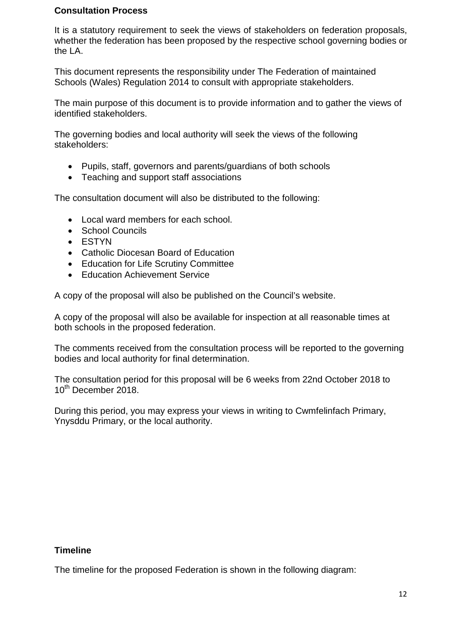# **Consultation Process**

It is a statutory requirement to seek the views of stakeholders on federation proposals, whether the federation has been proposed by the respective school governing bodies or the LA.

This document represents the responsibility under The Federation of maintained Schools (Wales) Regulation 2014 to consult with appropriate stakeholders.

The main purpose of this document is to provide information and to gather the views of identified stakeholders.

The governing bodies and local authority will seek the views of the following stakeholders:

- Pupils, staff, governors and parents/guardians of both schools
- Teaching and support staff associations

The consultation document will also be distributed to the following:

- Local ward members for each school.
- School Councils
- ESTYN
- Catholic Diocesan Board of Education
- Education for Life Scrutiny Committee
- Education Achievement Service

A copy of the proposal will also be published on the Council's website.

A copy of the proposal will also be available for inspection at all reasonable times at both schools in the proposed federation.

The comments received from the consultation process will be reported to the governing bodies and local authority for final determination.

The consultation period for this proposal will be 6 weeks from 22nd October 2018 to 10<sup>th</sup> December 2018.

During this period, you may express your views in writing to Cwmfelinfach Primary, Ynysddu Primary, or the local authority.

#### **Timeline**

The timeline for the proposed Federation is shown in the following diagram: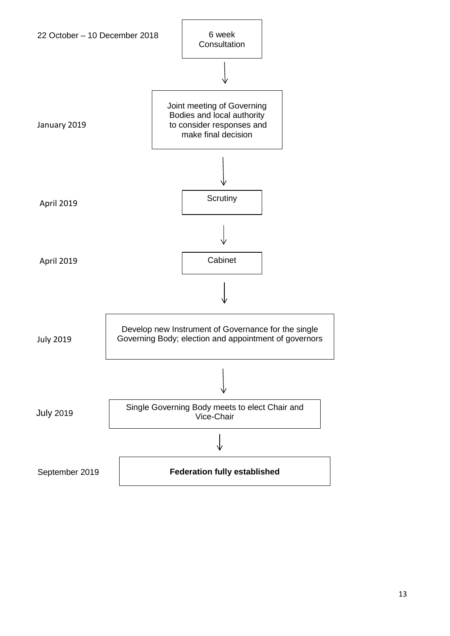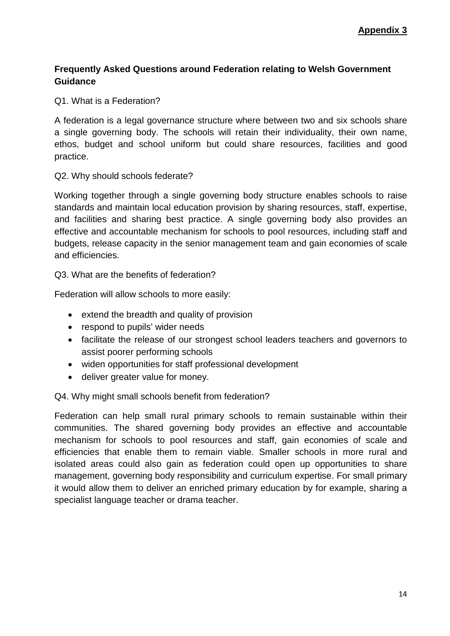# **Frequently Asked Questions around Federation relating to Welsh Government Guidance**

Q1. What is a Federation?

A federation is a legal governance structure where between two and six schools share a single governing body. The schools will retain their individuality, their own name, ethos, budget and school uniform but could share resources, facilities and good practice.

## Q2. Why should schools federate?

Working together through a single governing body structure enables schools to raise standards and maintain local education provision by sharing resources, staff, expertise, and facilities and sharing best practice. A single governing body also provides an effective and accountable mechanism for schools to pool resources, including staff and budgets, release capacity in the senior management team and gain economies of scale and efficiencies.

Q3. What are the benefits of federation?

Federation will allow schools to more easily:

- extend the breadth and quality of provision
- respond to pupils' wider needs
- facilitate the release of our strongest school leaders teachers and governors to assist poorer performing schools
- widen opportunities for staff professional development
- deliver greater value for money.

Q4. Why might small schools benefit from federation?

Federation can help small rural primary schools to remain sustainable within their communities. The shared governing body provides an effective and accountable mechanism for schools to pool resources and staff, gain economies of scale and efficiencies that enable them to remain viable. Smaller schools in more rural and isolated areas could also gain as federation could open up opportunities to share management, governing body responsibility and curriculum expertise. For small primary it would allow them to deliver an enriched primary education by for example, sharing a specialist language teacher or drama teacher.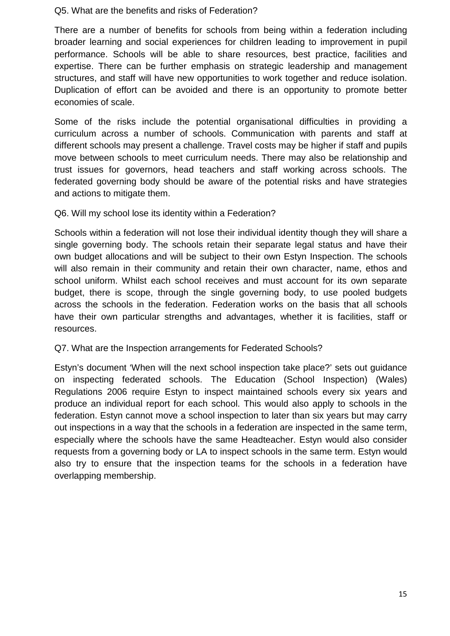#### Q5. What are the benefits and risks of Federation?

There are a number of benefits for schools from being within a federation including broader learning and social experiences for children leading to improvement in pupil performance. Schools will be able to share resources, best practice, facilities and expertise. There can be further emphasis on strategic leadership and management structures, and staff will have new opportunities to work together and reduce isolation. Duplication of effort can be avoided and there is an opportunity to promote better economies of scale.

Some of the risks include the potential organisational difficulties in providing a curriculum across a number of schools. Communication with parents and staff at different schools may present a challenge. Travel costs may be higher if staff and pupils move between schools to meet curriculum needs. There may also be relationship and trust issues for governors, head teachers and staff working across schools. The federated governing body should be aware of the potential risks and have strategies and actions to mitigate them.

# Q6. Will my school lose its identity within a Federation?

Schools within a federation will not lose their individual identity though they will share a single governing body. The schools retain their separate legal status and have their own budget allocations and will be subject to their own Estyn Inspection. The schools will also remain in their community and retain their own character, name, ethos and school uniform. Whilst each school receives and must account for its own separate budget, there is scope, through the single governing body, to use pooled budgets across the schools in the federation. Federation works on the basis that all schools have their own particular strengths and advantages, whether it is facilities, staff or resources.

## Q7. What are the Inspection arrangements for Federated Schools?

Estyn's document 'When will the next school inspection take place?' sets out guidance on inspecting federated schools. The Education (School Inspection) (Wales) Regulations 2006 require Estyn to inspect maintained schools every six years and produce an individual report for each school. This would also apply to schools in the federation. Estyn cannot move a school inspection to later than six years but may carry out inspections in a way that the schools in a federation are inspected in the same term, especially where the schools have the same Headteacher. Estyn would also consider requests from a governing body or LA to inspect schools in the same term. Estyn would also try to ensure that the inspection teams for the schools in a federation have overlapping membership.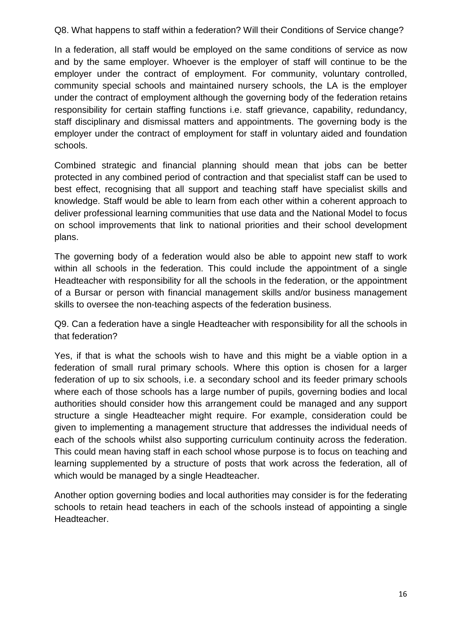Q8. What happens to staff within a federation? Will their Conditions of Service change?

In a federation, all staff would be employed on the same conditions of service as now and by the same employer. Whoever is the employer of staff will continue to be the employer under the contract of employment. For community, voluntary controlled, community special schools and maintained nursery schools, the LA is the employer under the contract of employment although the governing body of the federation retains responsibility for certain staffing functions i.e. staff grievance, capability, redundancy, staff disciplinary and dismissal matters and appointments. The governing body is the employer under the contract of employment for staff in voluntary aided and foundation schools.

Combined strategic and financial planning should mean that jobs can be better protected in any combined period of contraction and that specialist staff can be used to best effect, recognising that all support and teaching staff have specialist skills and knowledge. Staff would be able to learn from each other within a coherent approach to deliver professional learning communities that use data and the National Model to focus on school improvements that link to national priorities and their school development plans.

The governing body of a federation would also be able to appoint new staff to work within all schools in the federation. This could include the appointment of a single Headteacher with responsibility for all the schools in the federation, or the appointment of a Bursar or person with financial management skills and/or business management skills to oversee the non-teaching aspects of the federation business.

Q9. Can a federation have a single Headteacher with responsibility for all the schools in that federation?

Yes, if that is what the schools wish to have and this might be a viable option in a federation of small rural primary schools. Where this option is chosen for a larger federation of up to six schools, i.e. a secondary school and its feeder primary schools where each of those schools has a large number of pupils, governing bodies and local authorities should consider how this arrangement could be managed and any support structure a single Headteacher might require. For example, consideration could be given to implementing a management structure that addresses the individual needs of each of the schools whilst also supporting curriculum continuity across the federation. This could mean having staff in each school whose purpose is to focus on teaching and learning supplemented by a structure of posts that work across the federation, all of which would be managed by a single Headteacher.

Another option governing bodies and local authorities may consider is for the federating schools to retain head teachers in each of the schools instead of appointing a single Headteacher.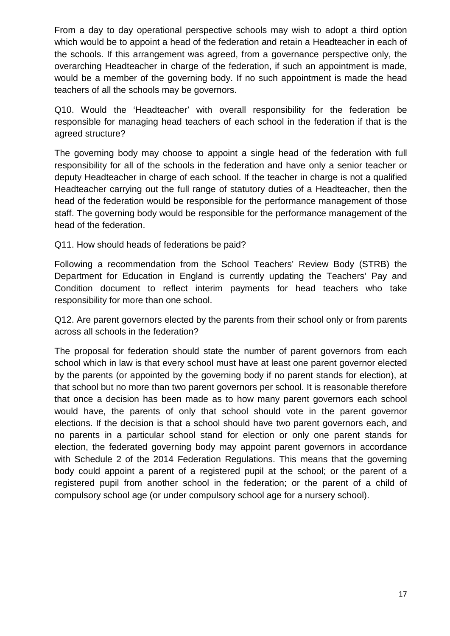From a day to day operational perspective schools may wish to adopt a third option which would be to appoint a head of the federation and retain a Headteacher in each of the schools. If this arrangement was agreed, from a governance perspective only, the overarching Headteacher in charge of the federation, if such an appointment is made, would be a member of the governing body. If no such appointment is made the head teachers of all the schools may be governors.

Q10. Would the 'Headteacher' with overall responsibility for the federation be responsible for managing head teachers of each school in the federation if that is the agreed structure?

The governing body may choose to appoint a single head of the federation with full responsibility for all of the schools in the federation and have only a senior teacher or deputy Headteacher in charge of each school. If the teacher in charge is not a qualified Headteacher carrying out the full range of statutory duties of a Headteacher, then the head of the federation would be responsible for the performance management of those staff. The governing body would be responsible for the performance management of the head of the federation.

# Q11. How should heads of federations be paid?

Following a recommendation from the School Teachers' Review Body (STRB) the Department for Education in England is currently updating the Teachers' Pay and Condition document to reflect interim payments for head teachers who take responsibility for more than one school.

Q12. Are parent governors elected by the parents from their school only or from parents across all schools in the federation?

The proposal for federation should state the number of parent governors from each school which in law is that every school must have at least one parent governor elected by the parents (or appointed by the governing body if no parent stands for election), at that school but no more than two parent governors per school. It is reasonable therefore that once a decision has been made as to how many parent governors each school would have, the parents of only that school should vote in the parent governor elections. If the decision is that a school should have two parent governors each, and no parents in a particular school stand for election or only one parent stands for election, the federated governing body may appoint parent governors in accordance with Schedule 2 of the 2014 Federation Regulations. This means that the governing body could appoint a parent of a registered pupil at the school; or the parent of a registered pupil from another school in the federation; or the parent of a child of compulsory school age (or under compulsory school age for a nursery school).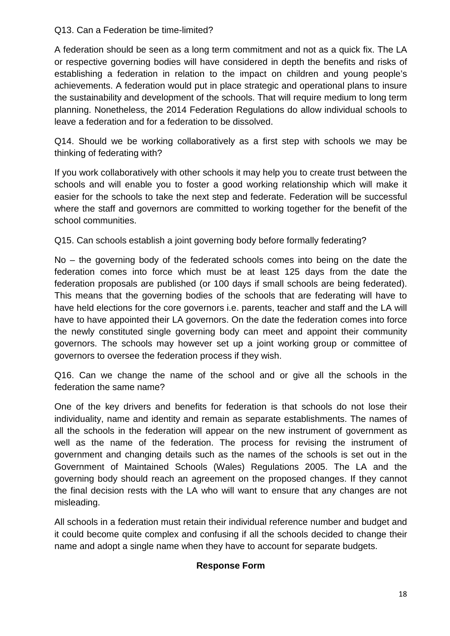Q13. Can a Federation be time-limited?

A federation should be seen as a long term commitment and not as a quick fix. The LA or respective governing bodies will have considered in depth the benefits and risks of establishing a federation in relation to the impact on children and young people's achievements. A federation would put in place strategic and operational plans to insure the sustainability and development of the schools. That will require medium to long term planning. Nonetheless, the 2014 Federation Regulations do allow individual schools to leave a federation and for a federation to be dissolved.

Q14. Should we be working collaboratively as a first step with schools we may be thinking of federating with?

If you work collaboratively with other schools it may help you to create trust between the schools and will enable you to foster a good working relationship which will make it easier for the schools to take the next step and federate. Federation will be successful where the staff and governors are committed to working together for the benefit of the school communities.

Q15. Can schools establish a joint governing body before formally federating?

No – the governing body of the federated schools comes into being on the date the federation comes into force which must be at least 125 days from the date the federation proposals are published (or 100 days if small schools are being federated). This means that the governing bodies of the schools that are federating will have to have held elections for the core governors i.e. parents, teacher and staff and the LA will have to have appointed their LA governors. On the date the federation comes into force the newly constituted single governing body can meet and appoint their community governors. The schools may however set up a joint working group or committee of governors to oversee the federation process if they wish.

Q16. Can we change the name of the school and or give all the schools in the federation the same name?

One of the key drivers and benefits for federation is that schools do not lose their individuality, name and identity and remain as separate establishments. The names of all the schools in the federation will appear on the new instrument of government as well as the name of the federation. The process for revising the instrument of government and changing details such as the names of the schools is set out in the Government of Maintained Schools (Wales) Regulations 2005. The LA and the governing body should reach an agreement on the proposed changes. If they cannot the final decision rests with the LA who will want to ensure that any changes are not misleading.

All schools in a federation must retain their individual reference number and budget and it could become quite complex and confusing if all the schools decided to change their name and adopt a single name when they have to account for separate budgets.

# **Response Form**